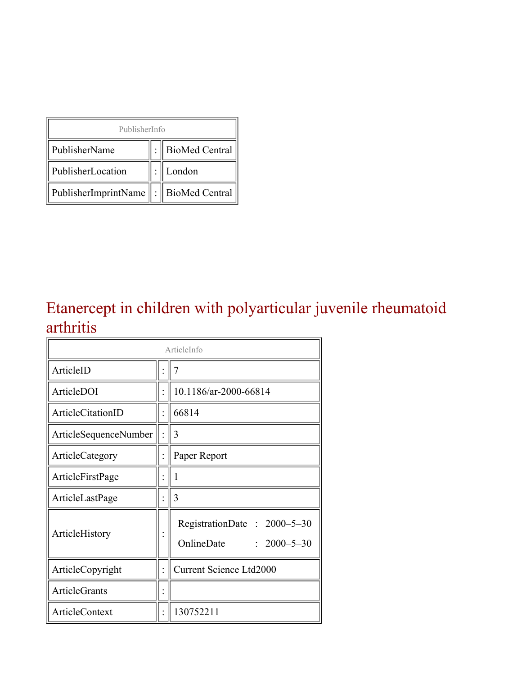| PublisherInfo                                   |  |                    |  |  |
|-------------------------------------------------|--|--------------------|--|--|
| PublisherName                                   |  | :   BioMed Central |  |  |
| PublisherLocation                               |  | London             |  |  |
| PublisherImprintName $\ \cdot\ $ BioMed Central |  |                    |  |  |

#### Etanercept in children with polyarticular juvenile rheumatoid arthritis

| ArticleInfo              |  |                                                                |  |
|--------------------------|--|----------------------------------------------------------------|--|
| ArticleID                |  | 7                                                              |  |
| ArticleDOI               |  | 10.1186/ar-2000-66814                                          |  |
| <b>ArticleCitationID</b> |  | 66814                                                          |  |
| ArticleSequenceNumber    |  | 3                                                              |  |
| ArticleCategory          |  | Paper Report                                                   |  |
| ArticleFirstPage         |  | 1                                                              |  |
| ArticleLastPage          |  | 3                                                              |  |
| ArticleHistory           |  | RegistrationDate: 2000-5-30<br>OnlineDate<br>$: 2000 - 5 - 30$ |  |
| ArticleCopyright         |  | <b>Current Science Ltd2000</b>                                 |  |
| <b>ArticleGrants</b>     |  |                                                                |  |
| <b>ArticleContext</b>    |  | 130752211                                                      |  |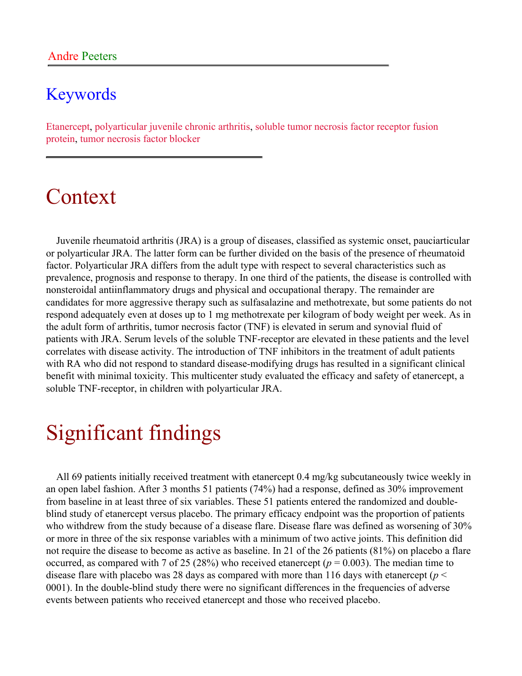#### Keywords

Etanercept, polyarticular juvenile chronic arthritis, soluble tumor necrosis factor receptor fusion protein, tumor necrosis factor blocker

### Context

Juvenile rheumatoid arthritis (JRA) is a group of diseases, classified as systemic onset, pauciarticular or polyarticular JRA. The latter form can be further divided on the basis of the presence of rheumatoid factor. Polyarticular JRA differs from the adult type with respect to several characteristics such as prevalence, prognosis and response to therapy. In one third of the patients, the disease is controlled with nonsteroidal antiinflammatory drugs and physical and occupational therapy. The remainder are candidates for more aggressive therapy such as sulfasalazine and methotrexate, but some patients do not respond adequately even at doses up to 1 mg methotrexate per kilogram of body weight per week. As in the adult form of arthritis, tumor necrosis factor (TNF) is elevated in serum and synovial fluid of patients with JRA. Serum levels of the soluble TNF-receptor are elevated in these patients and the level correlates with disease activity. The introduction of TNF inhibitors in the treatment of adult patients with RA who did not respond to standard disease-modifying drugs has resulted in a significant clinical benefit with minimal toxicity. This multicenter study evaluated the efficacy and safety of etanercept, a soluble TNF-receptor, in children with polyarticular JRA.

### Significant findings

All 69 patients initially received treatment with etanercept 0.4 mg/kg subcutaneously twice weekly in an open label fashion. After 3 months 51 patients (74%) had a response, defined as 30% improvement from baseline in at least three of six variables. These 51 patients entered the randomized and doubleblind study of etanercept versus placebo. The primary efficacy endpoint was the proportion of patients who withdrew from the study because of a disease flare. Disease flare was defined as worsening of 30% or more in three of the six response variables with a minimum of two active joints. This definition did not require the disease to become as active as baseline. In 21 of the 26 patients (81%) on placebo a flare occurred, as compared with 7 of 25 (28%) who received etanercept ( $p = 0.003$ ). The median time to disease flare with placebo was 28 days as compared with more than 116 days with etanercept (*p* < 0001). In the double-blind study there were no significant differences in the frequencies of adverse events between patients who received etanercept and those who received placebo.